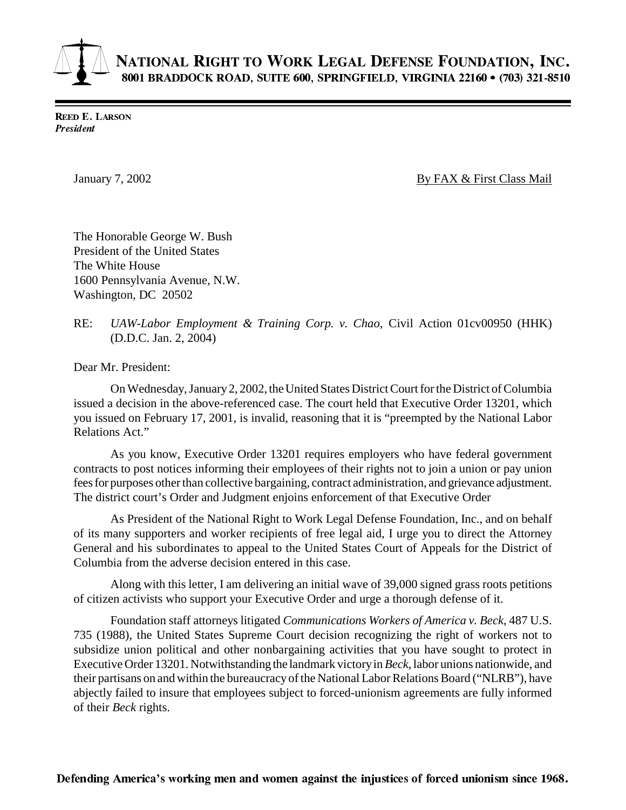## NATIONAL RIGHT TO WORK LEGAL DEFENSE FOUNDATION, INC. 8001 BRADDOCK ROAD, SUITE 600, SPRINGFIELD, VIRGINIA 22160 • (703) 321-8510

**REED E. LARSON** President

January 7, 2002 **By FAX & First Class Mail** 

The Honorable George W. Bush President of the United States The White House 1600 Pennsylvania Avenue, N.W. Washington, DC 20502

## RE: *UAW-Labor Employment & Training Corp. v. Chao*, Civil Action 01cv00950 (HHK) (D.D.C. Jan. 2, 2004)

Dear Mr. President:

On Wednesday, January 2, 2002, the United States District Court for the District of Columbia issued a decision in the above-referenced case. The court held that Executive Order 13201, which you issued on February 17, 2001, is invalid, reasoning that it is "preempted by the National Labor Relations Act."

As you know, Executive Order 13201 requires employers who have federal government contracts to post notices informing their employees of their rights not to join a union or pay union fees for purposes other than collective bargaining, contract administration, and grievance adjustment. The district court's Order and Judgment enjoins enforcement of that Executive Order

As President of the National Right to Work Legal Defense Foundation, Inc., and on behalf of its many supporters and worker recipients of free legal aid, I urge you to direct the Attorney General and his subordinates to appeal to the United States Court of Appeals for the District of Columbia from the adverse decision entered in this case.

Along with this letter, I am delivering an initial wave of 39,000 signed grass roots petitions of citizen activists who support your Executive Order and urge a thorough defense of it.

Foundation staff attorneys litigated *Communications Workers of America v. Beck*, 487 U.S. 735 (1988), the United States Supreme Court decision recognizing the right of workers not to subsidize union political and other nonbargaining activities that you have sought to protect in Executive Order 13201. Notwithstanding the landmark victory in *Beck*, labor unions nationwide, and their partisans on and within the bureaucracy of the National Labor Relations Board ("NLRB"), have abjectly failed to insure that employees subject to forced-unionism agreements are fully informed of their *Beck* rights.